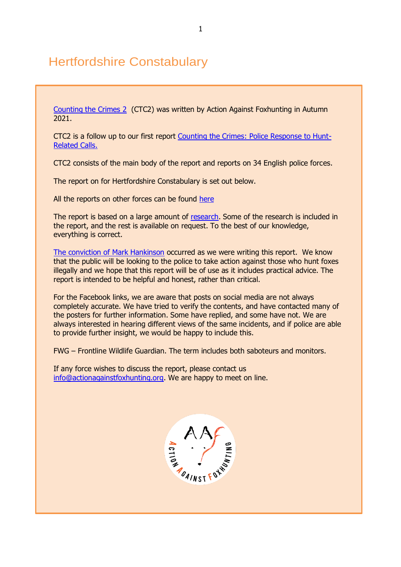# Hertfordshire Constabulary

[Counting the Crimes 2](https://www.actionagainstfoxhunting.org/counting-the-crimes2-the-police-response/) (CTC2) was written by Action Against Foxhunting in Autumn 2021.

CTC2 is a follow up to our first report [Counting the Crimes: Police Response to Hunt-](https://www.actionagainstfoxhunting.org/counting-the-crimes/)[Related Calls.](https://www.actionagainstfoxhunting.org/counting-the-crimes/)

CTC2 consists of the main body of the report and reports on 34 English police forces.

The report on for Hertfordshire Constabulary is set out below.

All the reports on other forces can be found [here](https://www.actionagainstfoxhunting.org/counting-the-crimes2-the-police-response/)

The report is based on a large amount of [research.](https://www.actionagainstfoxhunting.org/wp-content/uploads/2021/11/A-1411-Research-for-CTC2.pdf) Some of the research is included in the report, and the rest is available on request. To the best of our knowledge, everything is correct.

[The conviction of Mark Hankinson](https://www.league.org.uk/news-and-resources/news/hunting-office-webinars-the-road-to-conviction/) occurred as we were writing this report. We know that the public will be looking to the police to take action against those who hunt foxes illegally and we hope that this report will be of use as it includes practical advice. The report is intended to be helpful and honest, rather than critical.

For the Facebook links, we are aware that posts on social media are not always completely accurate. We have tried to verify the contents, and have contacted many of the posters for further information. Some have replied, and some have not. We are always interested in hearing different views of the same incidents, and if police are able to provide further insight, we would be happy to include this.

FWG – Frontline Wildlife Guardian. The term includes both saboteurs and monitors.

If any force wishes to discuss the report, please contact us [info@actionagainstfoxhunting.org.](mailto:info@actionagainstfoxhunting.org) We are happy to meet on line.

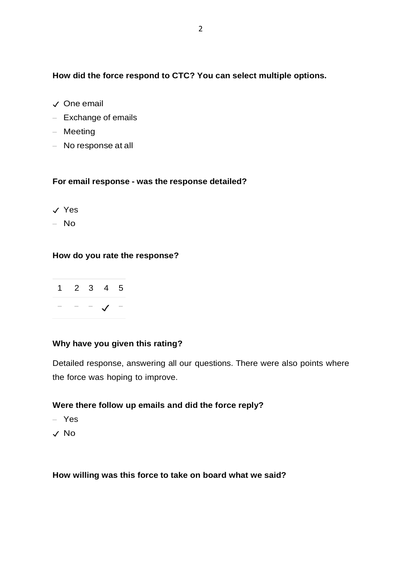## **How did the force respond to CTC? You can select multiple options.**

- ✓ One email
- Exchange of emails
- Meeting
- No response at all

### **For email response - was the response detailed?**

- ✓ Yes
- No

## **How do you rate the response?**



## **Why have you given this rating?**

Detailed response, answering all our questions. There were also points where the force was hoping to improve.

## **Were there follow up emails and did the force reply?**

- Yes
- ✓ No

**How willing was this force to take on board what we said?**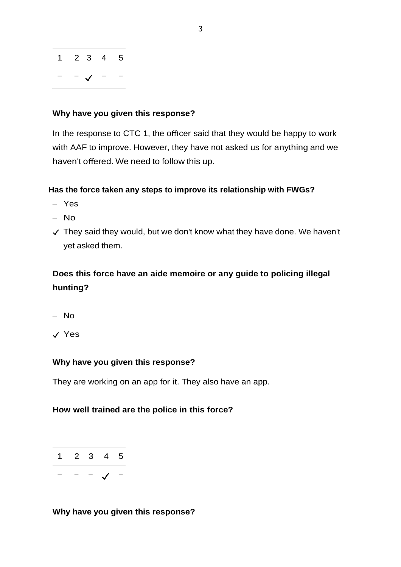

### **Why have you given this response?**

In the response to CTC 1, the officer said that they would be happy to work with AAF to improve. However, they have not asked us for anything and we haven't offered. We need to follow this up.

### **Has the force taken any steps to improve its relationship with FWGs?**

- Yes
- No
- ✓ They said they would, but we don't know what they have done. We haven't yet asked them.

## **Does this force have an aide memoire or any guide to policing illegal hunting?**

- No
- ✓ Yes

### **Why have you given this response?**

They are working on an app for it. They also have an app.

### **How well trained are the police in this force?**



**Why have you given this response?**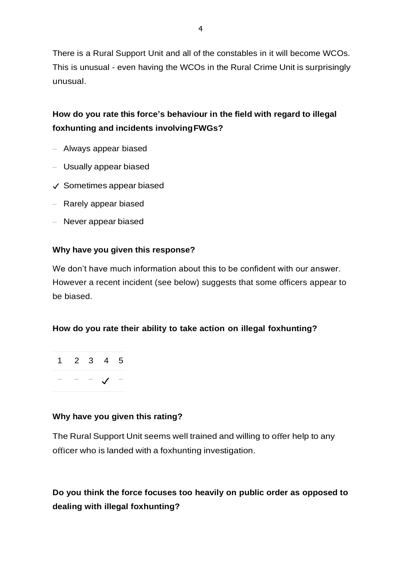There is a Rural Support Unit and all of the constables in it will become WCOs. This is unusual - even having the WCOs in the Rural Crime Unit is surprisingly unusual.

## **How do you rate this force's behaviour in the field with regard to illegal foxhunting and incidents involvingFWGs?**

- Always appear biased
- Usually appear biased
- ✓ Sometimes appear biased
- Rarely appear biased
- Never appear biased

### **Why have you given this response?**

We don't have much information about this to be confident with our answer. However a recent incident (see below) suggests that some officers appear to be biased.

### **How do you rate their ability to take action on illegal foxhunting?**



### **Why have you given this rating?**

The Rural Support Unit seems well trained and willing to offer help to any officer who is landed with a foxhunting investigation.

## **Do you think the force focuses too heavily on public order as opposed to dealing with illegal foxhunting?**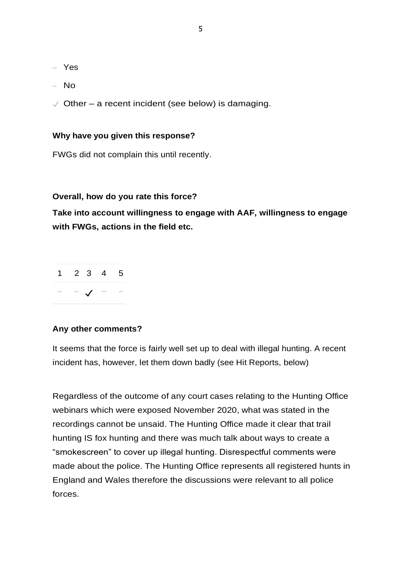- Yes
- No
- $\sqrt{\frac{1}{1}}$  Other a recent incident (see below) is damaging.

#### **Why have you given this response?**

FWGs did not complain this until recently.

#### **Overall, how do you rate this force?**

**Take into account willingness to engage with AAF, willingness to engage with FWGs, actions in the field etc.**

| 2 3 | 4 5                      |  |
|-----|--------------------------|--|
|     | $\overline{\phantom{a}}$ |  |

#### **Any other comments?**

It seems that the force is fairly well set up to deal with illegal hunting. A recent incident has, however, let them down badly (see Hit Reports, below)

Regardless of the outcome of any court cases relating to the Hunting Office webinars which were exposed November 2020, what was stated in the recordings cannot be unsaid. The Hunting Office made it clear that trail hunting IS fox hunting and there was much talk about ways to create a "smokescreen" to cover up illegal hunting. Disrespectful comments were made about the police. The Hunting Office represents all registered hunts in England and Wales therefore the discussions were relevant to all police forces.